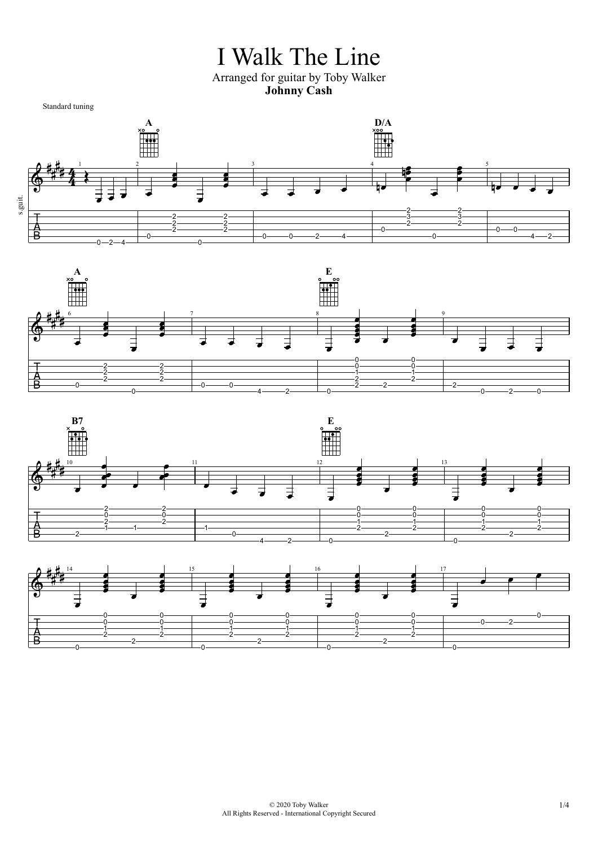## I Walk The Line Arranged for guitar by Toby Walker **Johnny Cash**

 $\degree$  2020 Toby Walker 1/4 All Rights Reserved - International Copyright Secured







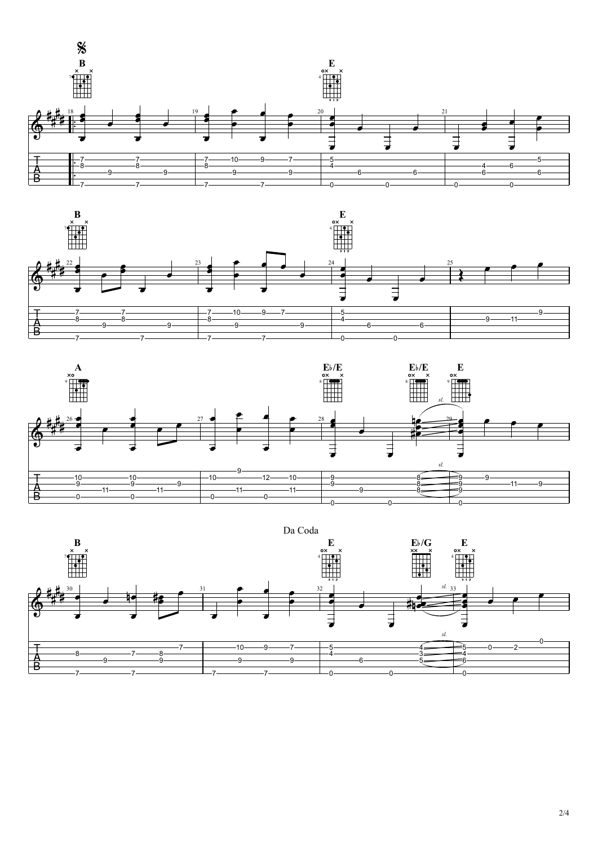





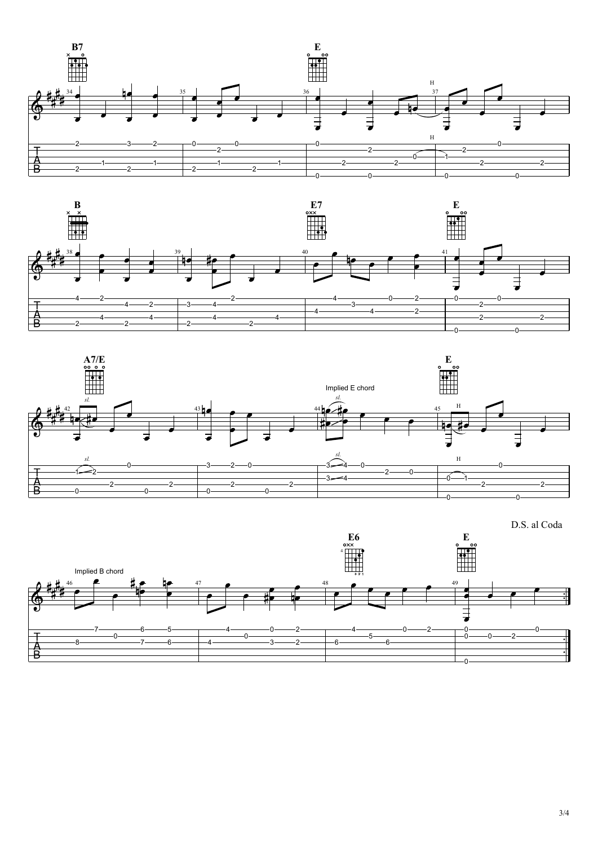